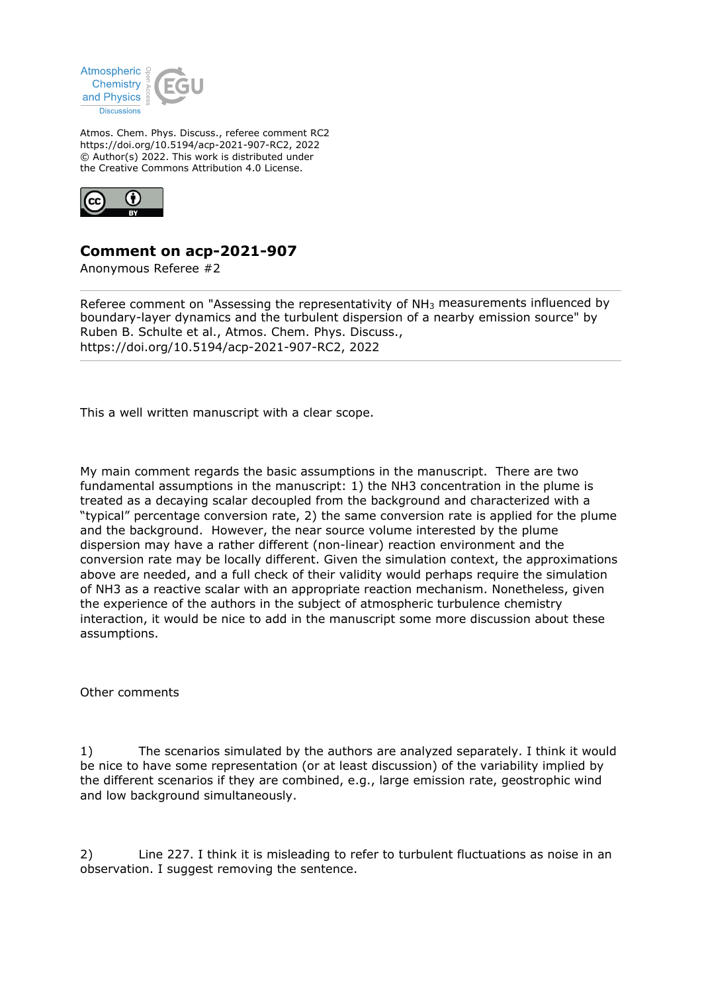

Atmos. Chem. Phys. Discuss., referee comment RC2 https://doi.org/10.5194/acp-2021-907-RC2, 2022 © Author(s) 2022. This work is distributed under the Creative Commons Attribution 4.0 License.



## **Comment on acp-2021-907**

Anonymous Referee #2

Referee comment on "Assessing the representativity of NH<sub>3</sub> measurements influenced by boundary-layer dynamics and the turbulent dispersion of a nearby emission source" by Ruben B. Schulte et al., Atmos. Chem. Phys. Discuss., https://doi.org/10.5194/acp-2021-907-RC2, 2022

This a well written manuscript with a clear scope.

My main comment regards the basic assumptions in the manuscript. There are two fundamental assumptions in the manuscript: 1) the NH3 concentration in the plume is treated as a decaying scalar decoupled from the background and characterized with a "typical" percentage conversion rate, 2) the same conversion rate is applied for the plume and the background. However, the near source volume interested by the plume dispersion may have a rather different (non-linear) reaction environment and the conversion rate may be locally different. Given the simulation context, the approximations above are needed, and a full check of their validity would perhaps require the simulation of NH3 as a reactive scalar with an appropriate reaction mechanism. Nonetheless, given the experience of the authors in the subject of atmospheric turbulence chemistry interaction, it would be nice to add in the manuscript some more discussion about these assumptions.

Other comments

1) The scenarios simulated by the authors are analyzed separately. I think it would be nice to have some representation (or at least discussion) of the variability implied by the different scenarios if they are combined, e.g., large emission rate, geostrophic wind and low background simultaneously.

2) Line 227. I think it is misleading to refer to turbulent fluctuations as noise in an observation. I suggest removing the sentence.